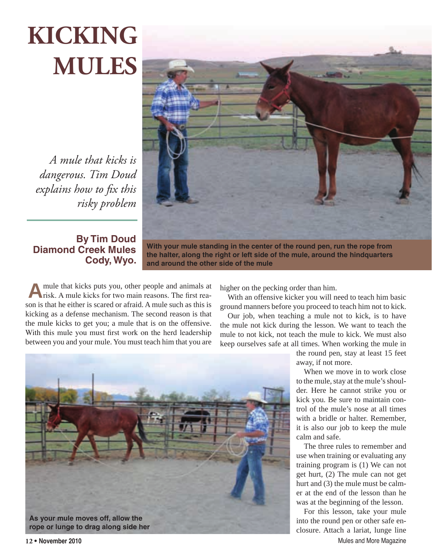## **KICKING MULES**

*A mule that kicks is dangerous. Tim Doud explains how to fix this risky problem*

## **By Tim Doud Diamond Creek Mules Cody, Wyo.**

**With your mule standing in the center of the round pen, run the rope from the halter, along the right or left side of the mule, around the hindquarters and around the other side of the mule**

**A**mule that kicks puts you, other people and animals at risk. A mule kicks for two main reasons. The first reason is that he either is scared or afraid. A mule such as this is kicking as a defense mechanism. The second reason is that the mule kicks to get you; a mule that is on the offensive. With this mule you must first work on the herd leadership between you and your mule. You must teach him that you are

higher on the pecking order than him.

With an offensive kicker you will need to teach him basic ground manners before you proceed to teach him not to kick.

Our job, when teaching a mule not to kick, is to have the mule not kick during the lesson. We want to teach the mule to not kick, not teach the mule to kick. We must also keep ourselves safe at all times. When working the mule in



the round pen, stay at least 15 feet away, if not more.

When we move in to work close to the mule, stay at the mule's shoulder. Here he cannot strike you or kick you. Be sure to maintain control of the mule's nose at all times with a bridle or halter. Remember, it is also our job to keep the mule calm and safe.

The three rules to remember and use when training or evaluating any training program is (1) We can not get hurt, (2) The mule can not get hurt and (3) the mule must be calmer at the end of the lesson than he was at the beginning of the lesson.

**12 • November 2010** Mules and More Magazine For this lesson, take your mule into the round pen or other safe enclosure. Attach a lariat, lunge line